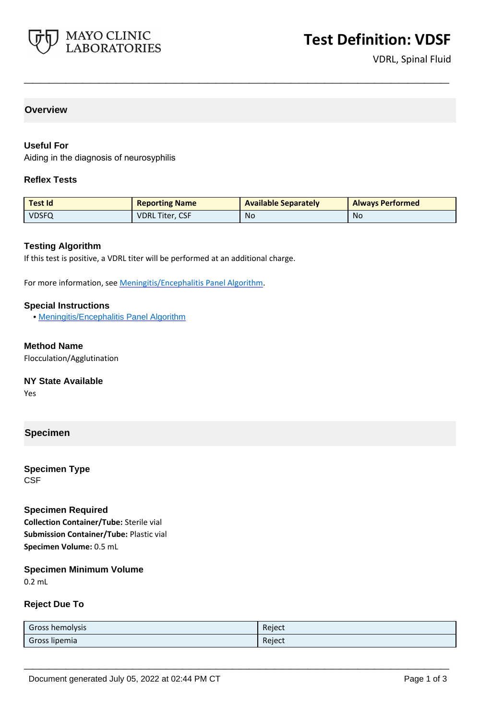

VDRL, Spinal Fluid

## **Overview**

### **Useful For**

Aiding in the diagnosis of neurosyphilis

#### **Reflex Tests**

| Test Id      | <b>Reporting Name</b>  | <b>Available Separately</b> | <b>Always Performed</b> |
|--------------|------------------------|-----------------------------|-------------------------|
| <b>VDSFQ</b> | <b>VDRL Titer, CSF</b> | N <sub>o</sub>              | No                      |

**\_\_\_\_\_\_\_\_\_\_\_\_\_\_\_\_\_\_\_\_\_\_\_\_\_\_\_\_\_\_\_\_\_\_\_\_\_\_\_\_\_\_\_\_\_\_\_\_\_\_\_**

#### **Testing Algorithm**

If this test is positive, a VDRL titer will be performed at an additional charge.

For more information, see [Meningitis/Encephalitis Panel Algorithm.](https://www.mayocliniclabs.com/it-mmfiles/Meningitis-Encephalitis_Panel_Algorithm.pdf)

#### **Special Instructions**

• [Meningitis/Encephalitis Panel Algorithm](https://www.mayocliniclabs.com/it-mmfiles/Meningitis-Encephalitis_Panel_Algorithm.pdf)

**Method Name** Flocculation/Agglutination

**NY State Available**

Yes

## **Specimen**

**Specimen Type CSF** 

#### **Specimen Required**

**Collection Container/Tube:** Sterile vial **Submission Container/Tube:** Plastic vial **Specimen Volume:** 0.5 mL

## **Specimen Minimum Volume**

0.2 mL

#### **Reject Due To**

| Gross hemolysis | Reject |
|-----------------|--------|
| Gross lipemia   | Reject |

**\_\_\_\_\_\_\_\_\_\_\_\_\_\_\_\_\_\_\_\_\_\_\_\_\_\_\_\_\_\_\_\_\_\_\_\_\_\_\_\_\_\_\_\_\_\_\_\_\_\_\_**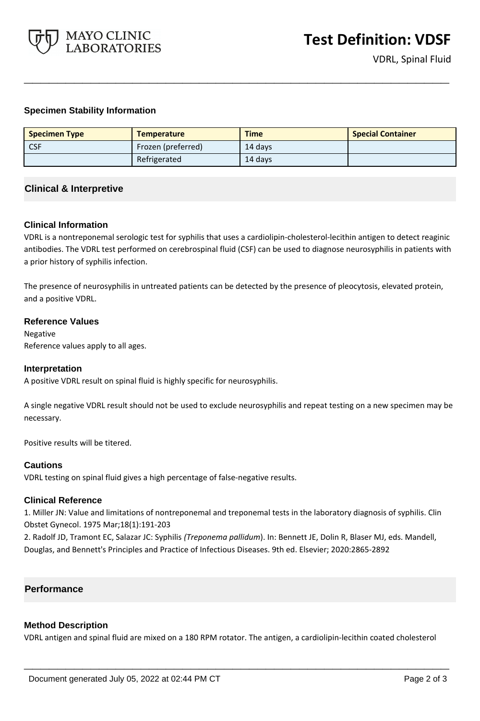

VDRL, Spinal Fluid

## **Specimen Stability Information**

| <b>Specimen Type</b> | <b>Temperature</b> | <b>Time</b> | <b>Special Container</b> |
|----------------------|--------------------|-------------|--------------------------|
| <b>CSF</b>           | Frozen (preferred) | 14 days     |                          |
|                      | Refrigerated       | 14 days     |                          |

**\_\_\_\_\_\_\_\_\_\_\_\_\_\_\_\_\_\_\_\_\_\_\_\_\_\_\_\_\_\_\_\_\_\_\_\_\_\_\_\_\_\_\_\_\_\_\_\_\_\_\_**

## **Clinical & Interpretive**

#### **Clinical Information**

VDRL is a nontreponemal serologic test for syphilis that uses a cardiolipin-cholesterol-lecithin antigen to detect reaginic antibodies. The VDRL test performed on cerebrospinal fluid (CSF) can be used to diagnose neurosyphilis in patients with a prior history of syphilis infection.

The presence of neurosyphilis in untreated patients can be detected by the presence of pleocytosis, elevated protein, and a positive VDRL.

#### **Reference Values**

Negative Reference values apply to all ages.

#### **Interpretation**

A positive VDRL result on spinal fluid is highly specific for neurosyphilis.

A single negative VDRL result should not be used to exclude neurosyphilis and repeat testing on a new specimen may be necessary.

Positive results will be titered.

#### **Cautions**

VDRL testing on spinal fluid gives a high percentage of false-negative results.

#### **Clinical Reference**

1. Miller JN: Value and limitations of nontreponemal and treponemal tests in the laboratory diagnosis of syphilis. Clin Obstet Gynecol. 1975 Mar;18(1):191-203

2. Radolf JD, Tramont EC, Salazar JC: Syphilis *(Treponema pallidum*). In: Bennett JE, Dolin R, Blaser MJ, eds. Mandell, Douglas, and Bennett's Principles and Practice of Infectious Diseases. 9th ed. Elsevier; 2020:2865-2892

## **Performance**

#### **Method Description**

VDRL antigen and spinal fluid are mixed on a 180 RPM rotator. The antigen, a cardiolipin-lecithin coated cholesterol

**\_\_\_\_\_\_\_\_\_\_\_\_\_\_\_\_\_\_\_\_\_\_\_\_\_\_\_\_\_\_\_\_\_\_\_\_\_\_\_\_\_\_\_\_\_\_\_\_\_\_\_**